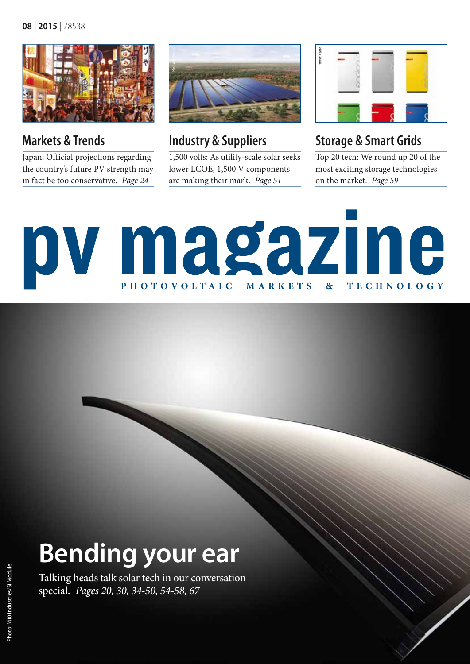

**Markets & Trends**

Japan: Official projections regarding the country's future PV strength may in fact be too conservative. *Page 24* 



**Industry & Suppliers**

1,500 volts: As utility-scale solar seeks lower LCOE, 1,500 V components are making their mark. *Page 51*



### **Storage & Smart Grids**

Top 20 tech: We round up 20 of the most exciting storage technologies on the market. *Page 59* 

# pv magazine **photovoltaic markets & technology**

## **Bending your ear**

Talking heads talk solar tech in our conversation special. *Pages 20, 30, 34-50, 54-58, 67*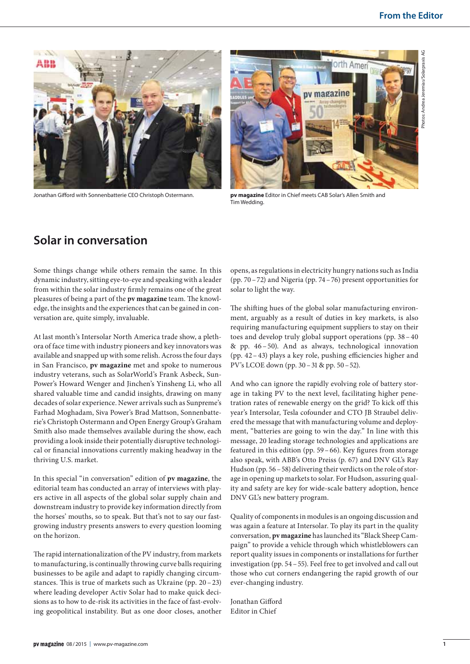

Jonathan Gifford with Sonnenbatterie CEO Christoph Ostermann. **pv magazine** Editor in Chief meets CAB Solar's Allen Smith and



Tim Wedding.

#### **Solar in conversation**

Some things change while others remain the same. In this dynamic industry, sitting eye-to-eye and speaking with a leader from within the solar industry firmly remains one of the great pleasures of being a part of the **pv magazine** team. The knowledge, the insights and the experiences that can be gained in conversation are, quite simply, invaluable.

At last month's Intersolar North America trade show, a plethora of face time with industry pioneers and key innovators was available and snapped up with some relish. Across the four days in San Francisco, **pv magazine** met and spoke to numerous industry veterans, such as SolarWorld's Frank Asbeck, Sun-Power's Howard Wenger and Jinchen's Yinsheng Li, who all shared valuable time and candid insights, drawing on many decades of solar experience. Newer arrivals such as Sunpreme's Farhad Moghadam, Siva Power's Brad Mattson, Sonnenbatterie's Christoph Ostermann and Open Energy Group's Graham Smith also made themselves available during the show, each providing a look inside their potentially disruptive technological or financial innovations currently making headway in the thriving U.S. market.

In this special "in conversation" edition of **pv magazine**, the editorial team has conducted an array of interviews with players active in all aspects of the global solar supply chain and downstream industry to provide key information directly from the horses' mouths, so to speak. But that's not to say our fastgrowing industry presents answers to every question looming on the horizon.

The rapid internationalization of the PV industry, from markets to manufacturing, is continually throwing curve balls requiring businesses to be agile and adapt to rapidly changing circumstances. This is true of markets such as Ukraine (pp. 20–23) where leading developer Activ Solar had to make quick decisions as to how to de-risk its activities in the face of fast-evolving geopolitical instability. But as one door closes, another opens, as regulations in electricity hungry nations such as India (pp. 70–72) and Nigeria (pp. 74–76) present opportunities for solar to light the way.

The shifting hues of the global solar manufacturing environment, arguably as a result of duties in key markets, is also requiring manufacturing equipment suppliers to stay on their toes and develop truly global support operations (pp. 38–40 & pp. 46–50). And as always, technological innovation (pp. 42–43) plays a key role, pushing efficiencies higher and PV's LCOE down (pp. 30–31 & pp. 50–52).

And who can ignore the rapidly evolving role of battery storage in taking PV to the next level, facilitating higher penetration rates of renewable energy on the grid? To kick off this year's Intersolar, Tesla cofounder and CTO JB Straubel delivered the message that with manufacturing volume and deployment, "batteries are going to win the day." In line with this message, 20 leading storage technologies and applications are featured in this edition (pp. 59–66). Key figures from storage also speak, with ABB's Otto Preiss (p. 67) and DNV GL's Ray Hudson (pp. 56–58) delivering their verdicts on the role of storage in opening up markets to solar. For Hudson, assuring quality and safety are key for wide-scale battery adoption, hence DNV GL's new battery program.

Quality of components in modules is an ongoing discussion and was again a feature at Intersolar. To play its part in the quality conversation, **pv magazine** has launched its "Black Sheep Campaign" to provide a vehicle through which whistleblowers can report quality issues in components or installations for further investigation (pp. 54–55). Feel free to get involved and call out those who cut corners endangering the rapid growth of our ever-changing industry.

Jonathan Gifford Editor in Chief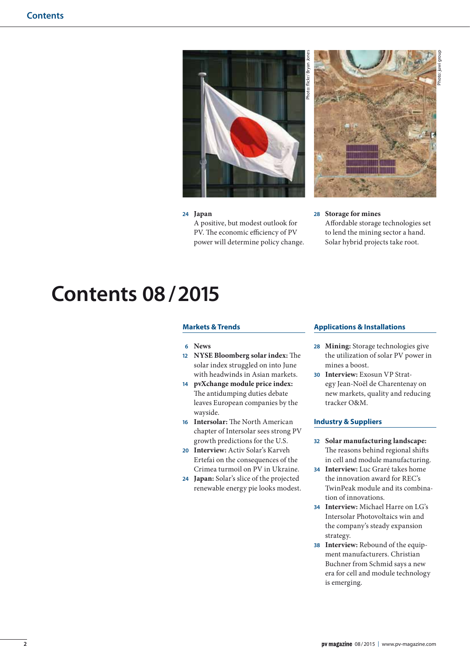

#### **24 Japan**

A positive, but modest outlook for PV. The economic efficiency of PV power will determine policy change. **28 Storage for mines**

Photo: juwi group

Affordable storage technologies set to lend the mining sector a hand. Solar hybrid projects take root.

### **Contents 08/ 2015**

#### **Markets & Trends**

- **6 News**
- **12 NYSE Bloomberg solar index:** The solar index struggled on into June with headwinds in Asian markets.
- **14 pvXchange module price index:** The antidumping duties debate leaves European companies by the wayside.
- **16 Intersolar:** The North American chapter of Intersolar sees strong PV growth predictions for the U.S.
- **20 Interview:** Activ Solar's Karveh Ertefai on the consequences of the Crimea turmoil on PV in Ukraine.
- **24 Japan:** Solar's slice of the projected renewable energy pie looks modest.

#### **Applications & Installations**

- **28 Mining:** Storage technologies give the utilization of solar PV power in mines a boost.
- **30 Interview:** Exosun VP Strategy Jean-Noël de Charentenay on new markets, quality and reducing tracker O&M.

#### **Industry & Suppliers**

- **32 Solar manufacturing landscape:** The reasons behind regional shifts in cell and module manufacturing.
- **34 Interview:** Luc Graré takes home the innovation award for REC's TwinPeak module and its combination of innovations.
- **34 Interview:** Michael Harre on LG's Intersolar Photovoltaics win and the company's steady expansion strategy.
- **38 Interview:** Rebound of the equipment manufacturers. Christian Buchner from Schmid says a new era for cell and module technology is emerging.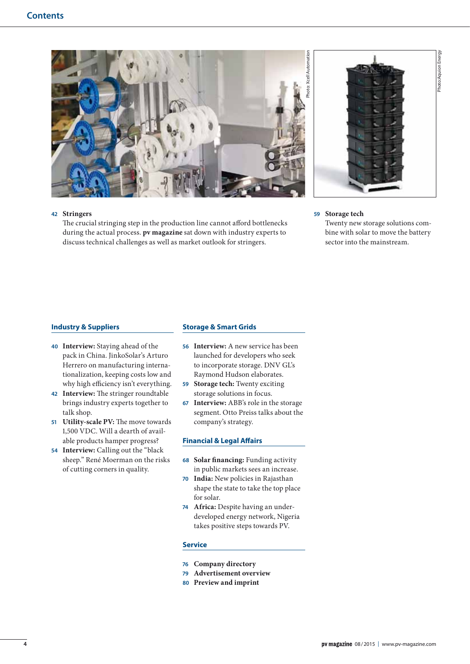



#### **42 Stringers**

The crucial stringing step in the production line cannot afford bottlenecks during the actual process. **pv magazine** sat down with industry experts to discuss technical challenges as well as market outlook for stringers.

#### **59 Storage tech**

Twenty new storage solutions combine with solar to move the battery sector into the mainstream.

#### **Industry & Suppliers**

- **40 Interview:** Staying ahead of the pack in China. JinkoSolar's Arturo Herrero on manufacturing internationalization, keeping costs low and why high efficiency isn't everything.
- **42 Interview:** The stringer roundtable brings industry experts together to talk shop.
- **51 Utility-scale PV:** The move towards 1,500 VDC. Will a dearth of available products hamper progress?
- **54 Interview:** Calling out the "black sheep." René Moerman on the risks of cutting corners in quality.

#### **Storage & Smart Grids**

- **56 Interview:** A new service has been launched for developers who seek to incorporate storage. DNV GL's Raymond Hudson elaborates.
- **59 Storage tech:** Twenty exciting storage solutions in focus.
- **67 Interview:** ABB's role in the storage segment. Otto Preiss talks about the company's strategy.

#### **Financial & Legal Affairs**

- **68 Solar financing:** Funding activity in public markets sees an increase.
- **70 India:** New policies in Rajasthan shape the state to take the top place for solar.
- **74 Africa:** Despite having an underdeveloped energy network, Nigeria takes positive steps towards PV.

#### **Service**

- **76 Company directory**
- **79 Advertisement overview**
- **80 Preview and imprint**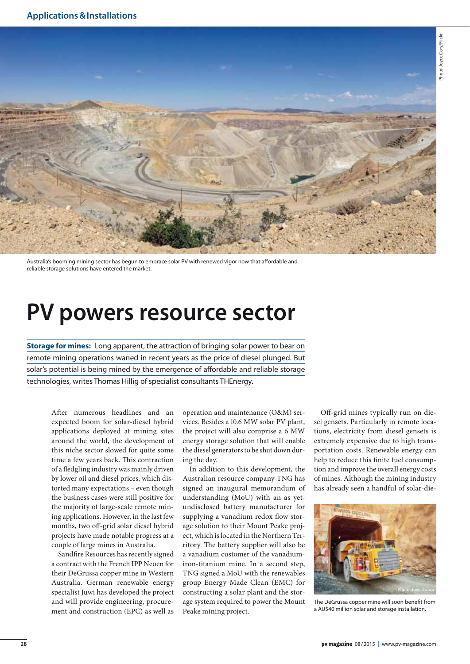

Australia's booming mining sector has begun to embrace solar PV with renewed vigor now that affordable and reliable storage solutions have entered the market.

## **PV powers resource sector**

**Storage for mines:** Long apparent, the attraction of bringing solar power to bear on remote mining operations waned in recent years as the price of diesel plunged. But solar's potential is being mined by the emergence of affordable and reliable storage technologies, writes Thomas Hillig of specialist consultants THEnergy.

After numerous headlines and an expected boom for solar-diesel hybrid applications deployed at mining sites around the world, the development of this niche sector slowed for quite some time a few years back. This contraction of a fledgling industry was mainly driven by lower oil and diesel prices, which distorted many expectations – even though the business cases were still positive for the majority of large-scale remote mining applications. However, in the last few months, two off-grid solar diesel hybrid projects have made notable progress at a couple of large mines in Australia.

Sandfire Resources has recently signed a contract with the French IPP Neoen for their DeGrussa copper mine in Western Australia. German renewable energy specialist Juwi has developed the project and will provide engineering, procurement and construction (EPC) as well as

operation and maintenance (O&M) services. Besides a 10.6 MW solar PV plant, the project will also comprise a 6 MW energy storage solution that will enable the diesel generators to be shut down during the day.

In addition to this development, the Australian resource company TNG has signed an inaugural memorandum of understanding (MoU) with an as yetundisclosed battery manufacturer for supplying a vanadium redox flow storage solution to their Mount Peake project, which is located in the Northern Territory. The battery supplier will also be a vanadium customer of the vanadiumiron-titanium mine. In a second step, TNG signed a MoU with the renewables group Energy Made Clean (EMC) for constructing a solar plant and the storage system required to power the Mount Peake mining project.

Off-grid mines typically run on diesel gensets. Particularly in remote locations, electricity from diesel gensets is extremely expensive due to high transportation costs. Renewable energy can help to reduce this finite fuel consumption and improve the overall energy costs of mines. Although the mining industry has already seen a handful of solar-die-



The DeGrussa copper mine will soon benefit from a AU\$40 million solar and storage installation.